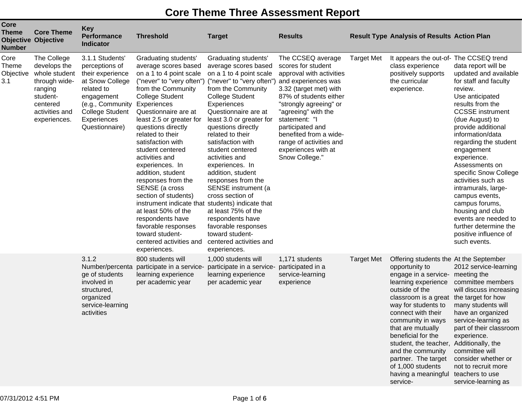## **Core Theme Three Assessment Report**

| <b>Core</b><br><b>Theme</b><br><b>Number</b> | <b>Core Theme</b><br><b>Objective Objective</b>                                                                                    | <b>Key</b><br><b>Performance</b><br><b>Indicator</b>                                                                                                                                | <b>Threshold</b>                                                                                                                                                                                                                                                                                                                                                                                                                                                                                                                                                                                 | <b>Target</b>                                                                                                                                                                                                                                                                                                                                                                                                                                                                                                                                                                                                        | <b>Results</b>                                                                                                                                                                                                                                                                                              |                   | <b>Result Type Analysis of Results Action Plan</b>                                                                                                                                                                                                                                                                                                                                                                            |                                                                                                                                                                                                                                                                                                                                                                                                                                                                                                                 |
|----------------------------------------------|------------------------------------------------------------------------------------------------------------------------------------|-------------------------------------------------------------------------------------------------------------------------------------------------------------------------------------|--------------------------------------------------------------------------------------------------------------------------------------------------------------------------------------------------------------------------------------------------------------------------------------------------------------------------------------------------------------------------------------------------------------------------------------------------------------------------------------------------------------------------------------------------------------------------------------------------|----------------------------------------------------------------------------------------------------------------------------------------------------------------------------------------------------------------------------------------------------------------------------------------------------------------------------------------------------------------------------------------------------------------------------------------------------------------------------------------------------------------------------------------------------------------------------------------------------------------------|-------------------------------------------------------------------------------------------------------------------------------------------------------------------------------------------------------------------------------------------------------------------------------------------------------------|-------------------|-------------------------------------------------------------------------------------------------------------------------------------------------------------------------------------------------------------------------------------------------------------------------------------------------------------------------------------------------------------------------------------------------------------------------------|-----------------------------------------------------------------------------------------------------------------------------------------------------------------------------------------------------------------------------------------------------------------------------------------------------------------------------------------------------------------------------------------------------------------------------------------------------------------------------------------------------------------|
| Core<br><b>Theme</b><br>Objective<br>3.1     | The College<br>develops the<br>whole student<br>through wide-<br>ranging<br>student-<br>centered<br>activities and<br>experiences. | 3.1.1 Students'<br>perceptions of<br>their experience<br>at Snow College<br>related to<br>engagement<br>(e.g., Community<br><b>College Student</b><br>Experiences<br>Questionnaire) | Graduating students'<br>average scores based<br>on a 1 to 4 point scale<br>("never" to "very often")<br>from the Community<br><b>College Student</b><br>Experiences<br>Questionnaire are at<br>least 2.5 or greater for<br>questions directly<br>related to their<br>satisfaction with<br>student centered<br>activities and<br>experiences. In<br>addition, student<br>responses from the<br>SENSE (a cross<br>section of students)<br>instrument indicate that<br>at least 50% of the<br>respondents have<br>favorable responses<br>toward student-<br>centered activities and<br>experiences. | Graduating students'<br>average scores based<br>on a 1 to 4 point scale<br>("never" to "very often") and experiences was<br>from the Community<br><b>College Student</b><br>Experiences<br>Questionnaire are at<br>least 3.0 or greater for<br>questions directly<br>related to their<br>satisfaction with<br>student centered<br>activities and<br>experiences. In<br>addition, student<br>responses from the<br>SENSE instrument (a<br>cross section of<br>students) indicate that<br>at least 75% of the<br>respondents have<br>favorable responses<br>toward student-<br>centered activities and<br>experiences. | The CCSEQ average<br>scores for student<br>approval with activities<br>3.32 (target met) with<br>87% of students either<br>"strongly agreeing" or<br>"agreeing" with the<br>statement: "I<br>participated and<br>benefited from a wide-<br>range of activities and<br>experiences with at<br>Snow College." | <b>Target Met</b> | It appears the out-of- The CCSEQ trend<br>class experience<br>positively supports<br>the curricular<br>experience.                                                                                                                                                                                                                                                                                                            | data report will be<br>updated and available<br>for staff and faculty<br>review.<br>Use anticipated<br>results from the<br><b>CCSSE</b> instrument<br>(due August) to<br>provide additional<br>information/data<br>regarding the student<br>engagement<br>experience.<br>Assessments on<br>specific Snow College<br>activities such as<br>intramurals, large-<br>campus events,<br>campus forums,<br>housing and club<br>events are needed to<br>further determine the<br>positive influence of<br>such events. |
|                                              |                                                                                                                                    | 3.1.2<br>Number/percenta<br>ge of students<br>involved in<br>structured,<br>organized<br>service-learning<br>activities                                                             | 800 students will<br>participate in a service-<br>learning experience<br>per academic year                                                                                                                                                                                                                                                                                                                                                                                                                                                                                                       | 1,000 students will<br>participate in a service-<br>learning experience<br>per academic year                                                                                                                                                                                                                                                                                                                                                                                                                                                                                                                         | 1,171 students<br>participated in a<br>service-learning<br>experience                                                                                                                                                                                                                                       | <b>Target Met</b> | Offering students the At the September<br>opportunity to<br>engage in a service-<br>learning experience<br>outside of the<br>classroom is a great<br>way for students to<br>connect with their<br>community in ways<br>that are mutually<br>beneficial for the<br>student, the teacher, Additionally, the<br>and the community<br>partner. The target<br>of 1,000 students<br>having a meaningful teachers to use<br>service- | 2012 service-learning<br>meeting the<br>committee members<br>will discuss increasing<br>the target for how<br>many students will<br>have an organized<br>service-learning as<br>part of their classroom<br>experience.<br>committee will<br>consider whether or<br>not to recruit more<br>service-learning as                                                                                                                                                                                                   |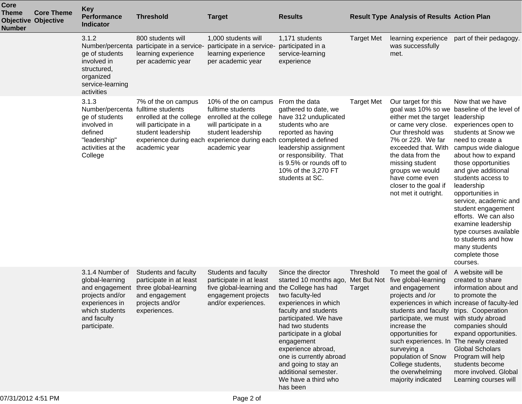| Core<br><b>Theme</b><br><b>Number</b> | <b>Core Theme</b><br><b>Objective Objective</b> | <b>Key</b><br><b>Performance</b><br><b>Indicator</b>                                                                                       | <b>Threshold</b>                                                                                                              | <b>Target</b>                                                                                                                                                                                             | <b>Results</b>                                                                                                                                                                                                                                                                                                                                                   |                                    | <b>Result Type Analysis of Results Action Plan</b>                                                                                                                                                                                                                                                                                                        |                                                                                                                                                                                                                                                                                                                                                                                                                                                                                                   |
|---------------------------------------|-------------------------------------------------|--------------------------------------------------------------------------------------------------------------------------------------------|-------------------------------------------------------------------------------------------------------------------------------|-----------------------------------------------------------------------------------------------------------------------------------------------------------------------------------------------------------|------------------------------------------------------------------------------------------------------------------------------------------------------------------------------------------------------------------------------------------------------------------------------------------------------------------------------------------------------------------|------------------------------------|-----------------------------------------------------------------------------------------------------------------------------------------------------------------------------------------------------------------------------------------------------------------------------------------------------------------------------------------------------------|---------------------------------------------------------------------------------------------------------------------------------------------------------------------------------------------------------------------------------------------------------------------------------------------------------------------------------------------------------------------------------------------------------------------------------------------------------------------------------------------------|
|                                       |                                                 | 3.1.2<br>Number/percenta<br>ge of students<br>involved in<br>structured,<br>organized<br>service-learning<br>activities                    | 800 students will<br>participate in a service-<br>learning experience<br>per academic year                                    | 1,000 students will<br>participate in a service-<br>learning experience<br>per academic year                                                                                                              | 1,171 students<br>participated in a<br>service-learning<br>experience                                                                                                                                                                                                                                                                                            | <b>Target Met</b>                  | learning experience<br>was successfully<br>met.                                                                                                                                                                                                                                                                                                           | part of their pedagogy.                                                                                                                                                                                                                                                                                                                                                                                                                                                                           |
|                                       |                                                 | 3.1.3<br>Number/percenta fulltime students<br>ge of students<br>involved in<br>defined<br>"leadership"<br>activities at the<br>College     | 7% of the on campus<br>enrolled at the college<br>will participate in a<br>student leadership<br>academic year                | 10% of the on campus<br>fulltime students<br>enrolled at the college<br>will participate in a<br>student leadership<br>experience during each experience during each completed a defined<br>academic year | From the data<br>gathered to date, we<br>have 312 unduplicated<br>students who are<br>reported as having<br>leadership assignment<br>or responsibility. That<br>is 9.5% or rounds off to<br>10% of the 3,270 FT<br>students at SC.                                                                                                                               | <b>Target Met</b>                  | Our target for this<br>either met the target<br>or came very close.<br>Our threshold was<br>7% or 229. We far<br>exceeded that. With<br>the data from the<br>missing student<br>groups we would<br>have come even<br>closer to the goal if<br>not met it outright.                                                                                        | Now that we have<br>goal was 10% so we baseline of the level of<br>leadership<br>experiences open to<br>students at Snow we<br>need to create a<br>campus wide dialogue<br>about how to expand<br>those opportunities<br>and give additional<br>students access to<br>leadership<br>opportunities in<br>service, academic and<br>student engagement<br>efforts. We can also<br>examine leadership<br>type courses available<br>to students and how<br>many students<br>complete those<br>courses. |
|                                       |                                                 | 3.1.4 Number of<br>global-learning<br>and engagement<br>projects and/or<br>experiences in<br>which students<br>and faculty<br>participate. | Students and faculty<br>participate in at least<br>three global-learning<br>and engagement<br>projects and/or<br>experiences. | Students and faculty<br>participate in at least<br>five global-learning and<br>engagement projects<br>and/or experiences.                                                                                 | Since the director<br>started 10 months ago,<br>the College has had<br>two faculty-led<br>experiences in which<br>faculty and students<br>participated. We have<br>had two students<br>participate in a global<br>engagement<br>experience abroad,<br>one is currently abroad<br>and going to stay an<br>additional semester.<br>We have a third who<br>has been | Threshold<br>Met But Not<br>Target | To meet the goal of<br>five global-learning<br>and engagement<br>projects and /or<br>students and faculty trips. Cooperation<br>participate, we must with study abroad<br>increase the<br>opportunities for<br>such experiences. In The newly created<br>surveying a<br>population of Snow<br>College students,<br>the overwhelming<br>majority indicated | A website will be<br>created to share<br>information about and<br>to promote the<br>experiences in which increase of faculty-led<br>companies should<br>expand opportunities.<br><b>Global Scholars</b><br>Program will help<br>students become<br>more involved. Global<br>Learning courses will                                                                                                                                                                                                 |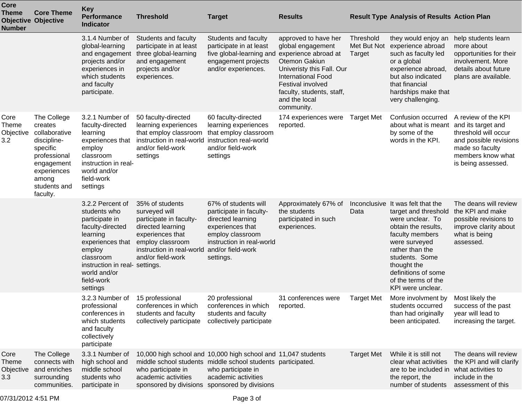| Core<br><b>Theme</b><br><b>Number</b>    | <b>Core Theme</b><br><b>Objective Objective</b>                                                                                                      | <b>Key</b><br><b>Performance</b><br><b>Indicator</b>                                                                                                                                                      | <b>Threshold</b>                                                                                                                                                           | <b>Target</b>                                                                                                                                                               | <b>Results</b>                                                                                                                                                                                                                |                                    | <b>Result Type Analysis of Results Action Plan</b>                                                                                                                                                                                                              |                                                                                                                                                           |
|------------------------------------------|------------------------------------------------------------------------------------------------------------------------------------------------------|-----------------------------------------------------------------------------------------------------------------------------------------------------------------------------------------------------------|----------------------------------------------------------------------------------------------------------------------------------------------------------------------------|-----------------------------------------------------------------------------------------------------------------------------------------------------------------------------|-------------------------------------------------------------------------------------------------------------------------------------------------------------------------------------------------------------------------------|------------------------------------|-----------------------------------------------------------------------------------------------------------------------------------------------------------------------------------------------------------------------------------------------------------------|-----------------------------------------------------------------------------------------------------------------------------------------------------------|
|                                          |                                                                                                                                                      | 3.1.4 Number of<br>global-learning<br>and engagement<br>projects and/or<br>experiences in<br>which students<br>and faculty<br>participate.                                                                | Students and faculty<br>participate in at least<br>three global-learning<br>and engagement<br>projects and/or<br>experiences.                                              | Students and faculty<br>participate in at least<br>five global-learning and<br>engagement projects<br>and/or experiences.                                                   | approved to have her<br>global engagement<br>experience abroad at<br>Otemon Gakiun<br>Univeristy this Fall. Our<br><b>International Food</b><br>Festival involved<br>faculty, students, staff,<br>and the local<br>community. | Threshold<br>Met But Not<br>Target | they would enjoy an<br>experience abroad<br>such as faculty led<br>or a global<br>experience abroad,<br>but also indicated<br>that financial<br>hardships make that<br>very challenging.                                                                        | help students learn<br>more about<br>opportunities for their<br>involvement. More<br>details about future<br>plans are available.                         |
| Core<br>Theme<br>Objective<br>3.2        | The College<br>creates<br>collaborative<br>discipline-<br>specific<br>professional<br>engagement<br>experiences<br>among<br>students and<br>faculty. | 3.2.1 Number of<br>faculty-directed<br>learning<br>experiences that<br>employ<br>classroom<br>instruction in real-<br>world and/or<br>field-work<br>settings                                              | 50 faculty-directed<br>learning experiences<br>that employ classroom<br>instruction in real-world<br>and/or field-work<br>settings                                         | 60 faculty-directed<br>learning experiences<br>that employ classroom<br>instruction real-world<br>and/or field-work<br>settings                                             | 174 experiences were<br>reported.                                                                                                                                                                                             | <b>Target Met</b>                  | Confusion occurred<br>about what is meant<br>by some of the<br>words in the KPI.                                                                                                                                                                                | A review of the KPI<br>and its target and<br>threshold will occur<br>and possible revisions<br>made so faculty<br>members know what<br>is being assessed. |
|                                          |                                                                                                                                                      | 3.2.2 Percent of<br>students who<br>participate in<br>faculty-directed<br>learning<br>experiences that<br>employ<br>classroom<br>instruction in real- settings.<br>world and/or<br>field-work<br>settings | 35% of students<br>surveyed will<br>participate in faculty-<br>directed learning<br>experiences that<br>employ classroom<br>instruction in real-world<br>and/or field-work | 67% of students will<br>participate in faculty-<br>directed learning<br>experiences that<br>employ classroom<br>instruction in real-world<br>and/or field-work<br>settings. | Approximately 67% of<br>the students<br>participated in such<br>experiences.                                                                                                                                                  | Data                               | Inconclusive It was felt that the<br>target and threshold<br>were unclear. To<br>obtain the results,<br>faculty members<br>were surveyed<br>rather than the<br>students. Some<br>thought the<br>definitions of some<br>of the terms of the<br>KPI were unclear. | The deans will review<br>the KPI and make<br>possible revisions to<br>improve clarity about<br>what is being<br>assessed.                                 |
|                                          |                                                                                                                                                      | 3.2.3 Number of 15 professional<br>professional<br>conferences in<br>which students<br>and faculty<br>collectively<br>participate                                                                         | conferences in which<br>students and faculty<br>collectively participate                                                                                                   | 20 professional<br>conferences in which<br>students and faculty<br>collectively participate                                                                                 | 31 conferences were<br>reported.                                                                                                                                                                                              | <b>Target Met</b>                  | More involvment by Most likely the<br>students occurred<br>than had originally<br>been anticipated.                                                                                                                                                             | success of the past<br>year will lead to<br>increasing the target.                                                                                        |
| Core<br><b>Theme</b><br>Objective<br>3.3 | The College<br>connects with<br>and enriches<br>surrounding<br>communities.                                                                          | 3.3.1 Number of<br>high school and<br>middle school<br>students who<br>participate in                                                                                                                     | who participate in<br>academic activities<br>sponsored by divisions sponsored by divisions                                                                                 | 10,000 high school and 10,000 high school and 11,047 students<br>middle school students middle school students participated.<br>who participate in<br>academic activities   |                                                                                                                                                                                                                               | <b>Target Met</b>                  | While it is still not<br>clear what activities<br>are to be included in what activities to<br>the report, the<br>number of students                                                                                                                             | The deans will review<br>the KPI and will clarify<br>include in the<br>assessment of this                                                                 |
|                                          |                                                                                                                                                      |                                                                                                                                                                                                           |                                                                                                                                                                            |                                                                                                                                                                             |                                                                                                                                                                                                                               |                                    |                                                                                                                                                                                                                                                                 |                                                                                                                                                           |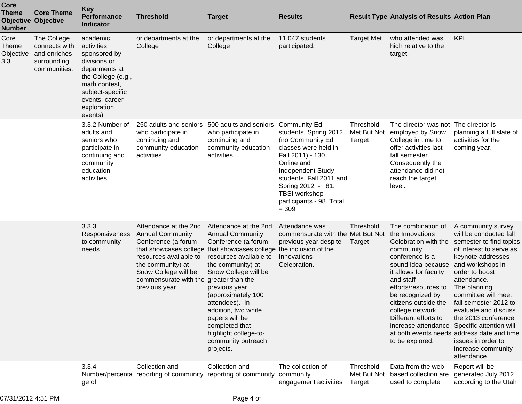| Core<br><b>Theme</b><br>Number           | <b>Core Theme</b><br><b>Objective Objective</b>                             | Key<br><b>Performance</b><br><b>Indicator</b>                                                                                                                                  | <b>Threshold</b>                                                                                                                                                                                                    | <b>Target</b>                                                                                                                                                                                                                                                                                                                                                                                     | <b>Results</b>                                                                                                                                                                                                                                                         |                                    | <b>Result Type Analysis of Results Action Plan</b>                                                                                                                                                                                                                                           |                                                                                                                                                                                                                                                                                                                                                                                                                                                      |
|------------------------------------------|-----------------------------------------------------------------------------|--------------------------------------------------------------------------------------------------------------------------------------------------------------------------------|---------------------------------------------------------------------------------------------------------------------------------------------------------------------------------------------------------------------|---------------------------------------------------------------------------------------------------------------------------------------------------------------------------------------------------------------------------------------------------------------------------------------------------------------------------------------------------------------------------------------------------|------------------------------------------------------------------------------------------------------------------------------------------------------------------------------------------------------------------------------------------------------------------------|------------------------------------|----------------------------------------------------------------------------------------------------------------------------------------------------------------------------------------------------------------------------------------------------------------------------------------------|------------------------------------------------------------------------------------------------------------------------------------------------------------------------------------------------------------------------------------------------------------------------------------------------------------------------------------------------------------------------------------------------------------------------------------------------------|
| Core<br><b>Theme</b><br>Objective<br>3.3 | The College<br>connects with<br>and enriches<br>surrounding<br>communities. | academic<br>activities<br>sponsored by<br>divisions or<br>deparments at<br>the College (e.g.,<br>math contest,<br>subject-specific<br>events, career<br>exploration<br>events) | or departments at the<br>College                                                                                                                                                                                    | or departments at the<br>College                                                                                                                                                                                                                                                                                                                                                                  | 11,047 students<br>participated.                                                                                                                                                                                                                                       | <b>Target Met</b>                  | who attended was<br>high relative to the<br>target.                                                                                                                                                                                                                                          | KPI.                                                                                                                                                                                                                                                                                                                                                                                                                                                 |
|                                          |                                                                             | 3.3.2 Number of<br>adults and<br>seniors who<br>participate in<br>continuing and<br>community<br>education<br>activities                                                       | 250 adults and seniors<br>who participate in<br>continuing and<br>community education<br>activities                                                                                                                 | 500 adults and seniors<br>who participate in<br>continuing and<br>community education<br>activities                                                                                                                                                                                                                                                                                               | <b>Community Ed</b><br>students, Spring 2012<br>(no Community Ed<br>classes were held in<br>Fall 2011) - 130.<br>Online and<br><b>Independent Study</b><br>students, Fall 2011 and<br>Spring 2012 - 81.<br><b>TBSI</b> workshop<br>participants - 98. Total<br>$= 309$ | Threshold<br>Met But Not<br>Target | The director was not<br>employed by Snow<br>College in time to<br>offer activities last<br>fall semester.<br>Consequently the<br>attendance did not<br>reach the target<br>level.                                                                                                            | The director is<br>planning a full slate of<br>activities for the<br>coming year.                                                                                                                                                                                                                                                                                                                                                                    |
|                                          |                                                                             | 3.3.3<br>Responsiveness<br>to community<br>needs                                                                                                                               | Attendance at the 2nd<br><b>Annual Community</b><br>Conference (a forum<br>that showcases college<br>resources available to<br>the community) at<br>Snow College will be<br>commensurate with the<br>previous year. | Attendance at the 2nd<br><b>Annual Community</b><br>Conference (a forum<br>that showcases college the inclusion of the<br>resources available to<br>the community) at<br>Snow College will be<br>greater than the<br>previous year<br>(approximately 100<br>attendees). In<br>addition, two white<br>papers will be<br>completed that<br>highlight college-to-<br>community outreach<br>projects. | Attendance was<br>commensurate with the Met But Not<br>previous year despite<br>Innovations<br>Celebration.                                                                                                                                                            | Threshold<br>Target                | The combination of<br>the Innovations<br>Celebration with the<br>community<br>conference is a<br>sound idea because<br>it allows for faculty<br>and staff<br>efforts/resources to<br>be recognized by<br>citizens outside the<br>college network.<br>Different efforts to<br>to be explored. | A community survey<br>will be conducted fall<br>semester to find topics<br>of interest to serve as<br>keynote addresses<br>and workshops in<br>order to boost<br>attendance.<br>The planning<br>committee will meet<br>fall semester 2012 to<br>evaluate and discuss<br>the 2013 conference.<br>increase attendance Specific attention will<br>at both events needs address date and time<br>issues in order to<br>increase community<br>attendance. |
|                                          |                                                                             | 3.3.4<br>ge of                                                                                                                                                                 | Collection and<br>Number/percenta reporting of community                                                                                                                                                            | Collection and<br>reporting of community                                                                                                                                                                                                                                                                                                                                                          | The collection of<br>community<br>engagement activities                                                                                                                                                                                                                | Threshold<br>Met But Not<br>Target | Data from the web-<br>based collection are<br>used to complete                                                                                                                                                                                                                               | Report will be<br>generated July 2012<br>according to the Utah                                                                                                                                                                                                                                                                                                                                                                                       |

 $\mathbf{C}$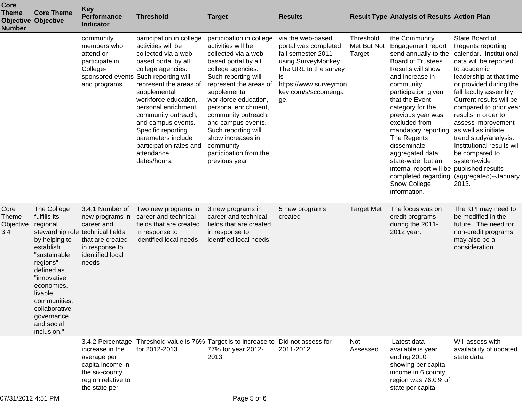| Core<br><b>Theme</b><br><b>Number</b>    | <b>Core Theme</b><br><b>Objective Objective</b>                                                                                                                                                                                                                         | <b>Key</b><br><b>Performance</b><br><b>Indicator</b>                                                                | <b>Threshold</b>                                                                                                                                                                                                                                                                                                                                                                                       | <b>Target</b>                                                                                                                                                                                                                                                                                                                                                                         | <b>Results</b>                                                                                                                                                               |                                    | <b>Result Type Analysis of Results Action Plan</b>                                                                                                                                                                                                                                                                                                                                                                                                              |                                                                                                                                                                                                                                                                                                                                                                                                                   |
|------------------------------------------|-------------------------------------------------------------------------------------------------------------------------------------------------------------------------------------------------------------------------------------------------------------------------|---------------------------------------------------------------------------------------------------------------------|--------------------------------------------------------------------------------------------------------------------------------------------------------------------------------------------------------------------------------------------------------------------------------------------------------------------------------------------------------------------------------------------------------|---------------------------------------------------------------------------------------------------------------------------------------------------------------------------------------------------------------------------------------------------------------------------------------------------------------------------------------------------------------------------------------|------------------------------------------------------------------------------------------------------------------------------------------------------------------------------|------------------------------------|-----------------------------------------------------------------------------------------------------------------------------------------------------------------------------------------------------------------------------------------------------------------------------------------------------------------------------------------------------------------------------------------------------------------------------------------------------------------|-------------------------------------------------------------------------------------------------------------------------------------------------------------------------------------------------------------------------------------------------------------------------------------------------------------------------------------------------------------------------------------------------------------------|
|                                          |                                                                                                                                                                                                                                                                         | community<br>members who<br>attend or<br>participate in<br>College-<br>and programs                                 | participation in college<br>activities will be<br>collected via a web-<br>based portal by all<br>college agencies.<br>sponsored events Such reporting will<br>represent the areas of<br>supplemental<br>workforce education,<br>personal enrichment,<br>community outreach,<br>and campus events.<br>Specific reporting<br>parameters include<br>participation rates and<br>attendance<br>dates/hours. | participation in college<br>activities will be<br>collected via a web-<br>based portal by all<br>college agencies.<br>Such reporting will<br>represent the areas of<br>supplemental<br>workforce education,<br>personal enrichment,<br>community outreach,<br>and campus events.<br>Such reporting will<br>show increases in<br>community<br>participation from the<br>previous year. | via the web-based<br>portal was completed<br>fall semester 2011<br>using SurveyMonkey.<br>The URL to the survey<br>is<br>https://www.surveymon<br>key.com/s/sccomenga<br>ge. | Threshold<br>Met But Not<br>Target | the Community<br>Engagement report<br>send annually to the<br>Board of Trustees.<br>Results will show<br>and increase in<br>community<br>participation given<br>that the Event<br>category for the<br>previous year was<br>excluded from<br>mandatory reporting. as well as initiate<br>The Regents<br>disseminate<br>aggregated data<br>state-wide, but an<br>internal report will be published results<br>completed regarding<br>Snow College<br>information. | State Board of<br>Regents reporting<br>calendar. Institutional<br>data will be reported<br>to academic<br>leadership at that time<br>or provided during the<br>fall faculty assembly.<br>Current results will be<br>compared to prior year<br>results in order to<br>assess improvement<br>trend study/analysis.<br>Institutional results will<br>be compared to<br>system-wide<br>(aggregated)--January<br>2013. |
| Core<br><b>Theme</b><br>Objective<br>3.4 | The College<br>fulfills its<br>regional<br>stewardhip role technical fields<br>by helping to<br>establish<br>"sustainable<br>regions"<br>defined as<br>"innovative<br>economies,<br>livable<br>communities,<br>collaborative<br>governance<br>and social<br>inclusion." | 3.4.1 Number of<br>new programs in<br>career and<br>that are created<br>in response to<br>identified local<br>needs | Two new programs in<br>career and technical<br>fields that are created<br>in response to<br>identified local needs                                                                                                                                                                                                                                                                                     | 3 new programs in<br>career and technical<br>fields that are created<br>in response to<br>identified local needs                                                                                                                                                                                                                                                                      | 5 new programs<br>created                                                                                                                                                    | <b>Target Met</b>                  | The focus was on<br>credit programs<br>during the 2011-<br>2012 year.                                                                                                                                                                                                                                                                                                                                                                                           | The KPI may need to<br>be modified in the<br>future. The need for<br>non-credit programs<br>may also be a<br>consideration.                                                                                                                                                                                                                                                                                       |
|                                          |                                                                                                                                                                                                                                                                         | increase in the<br>average per<br>capita income in<br>the six-county<br>region relative to<br>the state per         | 3.4.2 Percentage Threshold value is 76% Target is to increase to Did not assess for<br>for 2012-2013                                                                                                                                                                                                                                                                                                   | 77% for year 2012-<br>2013.                                                                                                                                                                                                                                                                                                                                                           | 2011-2012.                                                                                                                                                                   | Not<br>Assessed                    | Latest data<br>available is year<br>ending 2010<br>showing per capita<br>income in 6 county<br>region was 76.0% of<br>state per capita                                                                                                                                                                                                                                                                                                                          | Will assess with<br>availability of updated<br>state data.                                                                                                                                                                                                                                                                                                                                                        |